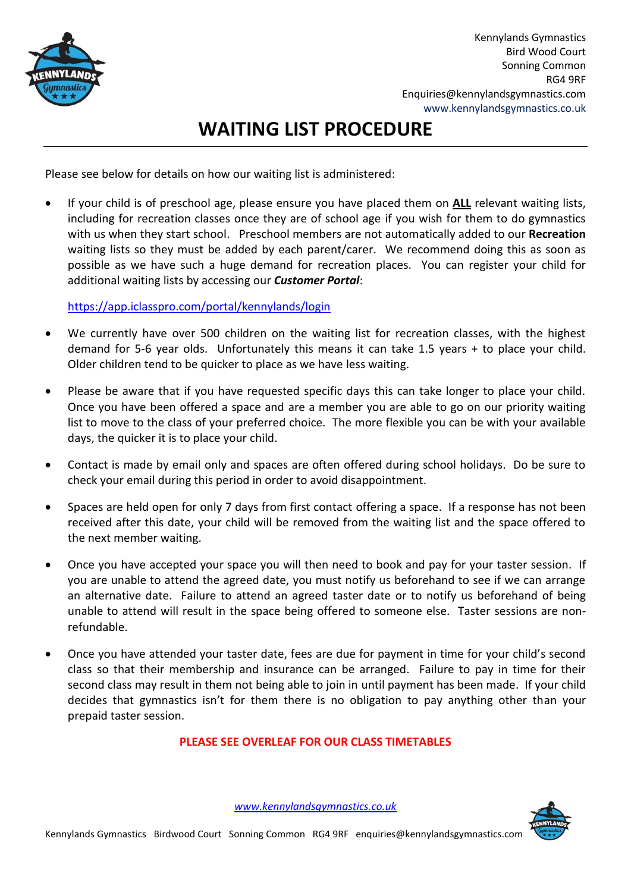

Kennylands Gymnastics Bird Wood Court Sonning Common RG4 9RF Enquiries@kennylandsgymnastics.com www.kennylandsgymnastics.co.uk

## **WAITING LIST PROCEDURE**

Please see below for details on how our waiting list is administered:

• If your child is of preschool age, please ensure you have placed them on **ALL** relevant waiting lists, including for recreation classes once they are of school age if you wish for them to do gymnastics with us when they start school. Preschool members are not automatically added to our **Recreation** waiting lists so they must be added by each parent/carer. We recommend doing this as soon as possible as we have such a huge demand for recreation places. You can register your child for additional waiting lists by accessing our *Customer Portal*:

<https://app.iclasspro.com/portal/kennylands/login>

- We currently have over 500 children on the waiting list for recreation classes, with the highest demand for 5-6 year olds. Unfortunately this means it can take 1.5 years + to place your child. Older children tend to be quicker to place as we have less waiting.
- Please be aware that if you have requested specific days this can take longer to place your child. Once you have been offered a space and are a member you are able to go on our priority waiting list to move to the class of your preferred choice. The more flexible you can be with your available days, the quicker it is to place your child.
- Contact is made by email only and spaces are often offered during school holidays. Do be sure to check your email during this period in order to avoid disappointment.
- Spaces are held open for only 7 days from first contact offering a space. If a response has not been received after this date, your child will be removed from the waiting list and the space offered to the next member waiting.
- Once you have accepted your space you will then need to book and pay for your taster session. If you are unable to attend the agreed date, you must notify us beforehand to see if we can arrange an alternative date. Failure to attend an agreed taster date or to notify us beforehand of being unable to attend will result in the space being offered to someone else. Taster sessions are nonrefundable.
- Once you have attended your taster date, fees are due for payment in time for your child's second class so that their membership and insurance can be arranged. Failure to pay in time for their second class may result in them not being able to join in until payment has been made. If your child decides that gymnastics isn't for them there is no obligation to pay anything other than your prepaid taster session.

## **PLEASE SEE OVERLEAF FOR OUR CLASS TIMETABLES**

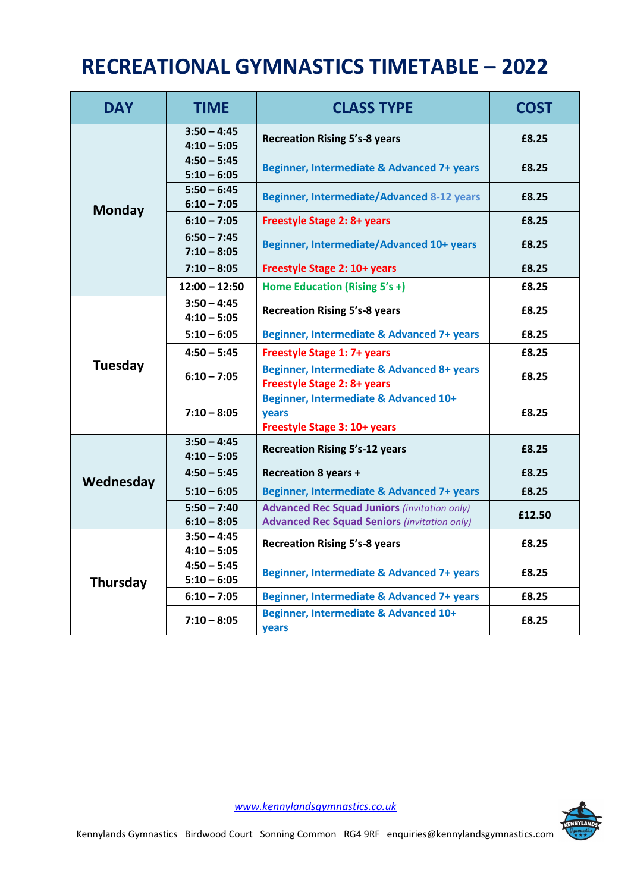## **RECREATIONAL GYMNASTICS TIMETABLE – 2022**

| <b>DAY</b>    | <b>TIME</b>                    | <b>CLASS TYPE</b>                                                                                          | <b>COST</b> |
|---------------|--------------------------------|------------------------------------------------------------------------------------------------------------|-------------|
| <b>Monday</b> | $3:50 - 4:45$<br>$4:10 - 5:05$ | <b>Recreation Rising 5's-8 years</b>                                                                       | £8.25       |
|               | $4:50 - 5:45$<br>$5:10 - 6:05$ | Beginner, Intermediate & Advanced 7+ years                                                                 | £8.25       |
|               | $5:50 - 6:45$<br>$6:10 - 7:05$ | Beginner, Intermediate/Advanced 8-12 years                                                                 | £8.25       |
|               | $6:10 - 7:05$                  | <b>Freestyle Stage 2: 8+ years</b>                                                                         | £8.25       |
|               | $6:50 - 7:45$<br>$7:10 - 8:05$ | <b>Beginner, Intermediate/Advanced 10+ years</b>                                                           | £8.25       |
|               | $7:10 - 8:05$                  | Freestyle Stage 2: 10+ years                                                                               | £8.25       |
|               | $12:00 - 12:50$                | Home Education (Rising 5's +)                                                                              | £8.25       |
|               | $3:50 - 4:45$<br>$4:10 - 5:05$ | <b>Recreation Rising 5's-8 years</b>                                                                       | £8.25       |
|               | $5:10 - 6:05$                  | Beginner, Intermediate & Advanced 7+ years                                                                 | £8.25       |
|               | $4:50 - 5:45$                  | <b>Freestyle Stage 1: 7+ years</b>                                                                         | £8.25       |
| Tuesday       | $6:10 - 7:05$                  | Beginner, Intermediate & Advanced 8+ years<br><b>Freestyle Stage 2: 8+ years</b>                           | £8.25       |
|               | $7:10 - 8:05$                  | Beginner, Intermediate & Advanced 10+<br><b>vears</b><br>Freestyle Stage 3: 10+ years                      | £8.25       |
| Wednesday     | $3:50 - 4:45$<br>$4:10 - 5:05$ | <b>Recreation Rising 5's-12 years</b>                                                                      | £8.25       |
|               | $4:50 - 5:45$                  | <b>Recreation 8 years +</b>                                                                                | £8.25       |
|               | $5:10 - 6:05$                  | Beginner, Intermediate & Advanced 7+ years                                                                 | £8.25       |
|               | $5:50 - 7:40$<br>$6:10 - 8:05$ | <b>Advanced Rec Squad Juniors (invitation only)</b><br><b>Advanced Rec Squad Seniors (invitation only)</b> | £12.50      |
| Thursday      | $3:50 - 4:45$<br>$4:10 - 5:05$ | <b>Recreation Rising 5's-8 years</b>                                                                       | £8.25       |
|               | $4:50 - 5:45$<br>$5:10 - 6:05$ | Beginner, Intermediate & Advanced 7+ years                                                                 | £8.25       |
|               | $6:10 - 7:05$                  | Beginner, Intermediate & Advanced 7+ years                                                                 | £8.25       |
|               | $7:10 - 8:05$                  | Beginner, Intermediate & Advanced 10+<br>years                                                             | £8.25       |

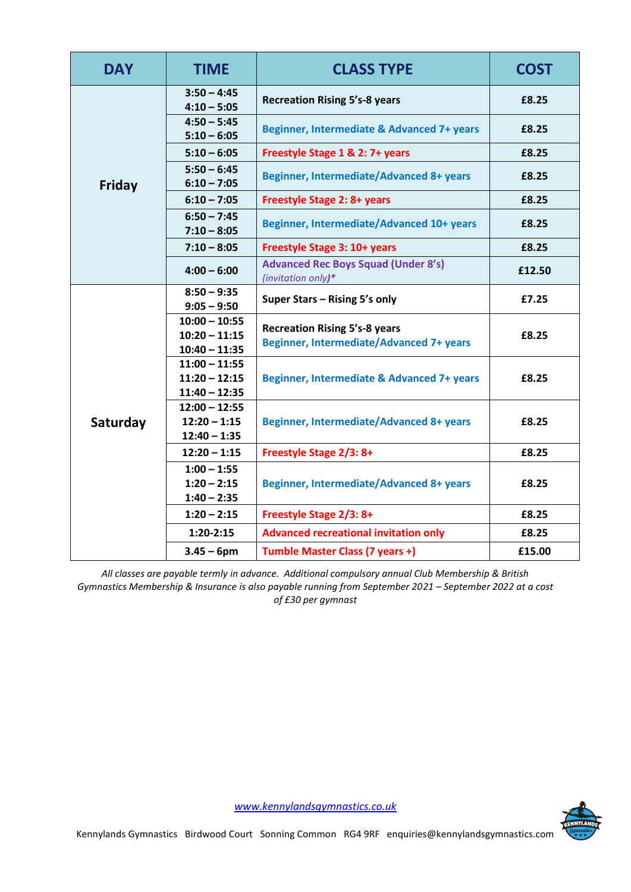| <b>DAY</b>    | <b>TIME</b>                                           | <b>CLASS TYPE</b>                                                                       | <b>COST</b> |
|---------------|-------------------------------------------------------|-----------------------------------------------------------------------------------------|-------------|
| <b>Friday</b> | $3:50 - 4:45$<br>$4:10 - 5:05$                        | <b>Recreation Rising 5's-8 years</b>                                                    | £8.25       |
|               | $4:50 - 5:45$<br>$5:10 - 6:05$                        | Beginner, Intermediate & Advanced 7+ years                                              | £8.25       |
|               | $5:10 - 6:05$                                         | Freestyle Stage 1 & 2: 7+ years                                                         | £8.25       |
|               | $5:50 - 6:45$<br>$6:10 - 7:05$                        | <b>Beginner, Intermediate/Advanced 8+ years</b>                                         | £8.25       |
|               | $6:10 - 7:05$                                         | <b>Freestyle Stage 2: 8+ years</b>                                                      | £8.25       |
|               | $6:50 - 7:45$<br>$7:10 - 8:05$                        | Beginner, Intermediate/Advanced 10+ years                                               | £8.25       |
|               | $7:10 - 8:05$                                         | Freestyle Stage 3: 10+ years                                                            | £8.25       |
|               | $4:00 - 6:00$                                         | <b>Advanced Rec Boys Squad (Under 8's)</b><br>(invitation only)*                        | £12.50      |
| Saturday      | $8:50 - 9:35$<br>$9:05 - 9:50$                        | Super Stars - Rising 5's only                                                           | £7.25       |
|               | $10:00 - 10:55$<br>$10:20 - 11:15$<br>$10:40 - 11:35$ | <b>Recreation Rising 5's-8 years</b><br><b>Beginner, Intermediate/Advanced 7+ years</b> | £8.25       |
|               | $11:00 - 11:55$<br>$11:20 - 12:15$<br>$11:40 - 12:35$ | Beginner, Intermediate & Advanced 7+ years                                              | £8.25       |
|               | $12:00 - 12:55$<br>$12:20 - 1:15$<br>$12:40 - 1:35$   | <b>Beginner, Intermediate/Advanced 8+ years</b>                                         | £8.25       |
|               | $12:20 - 1:15$                                        | Freestyle Stage 2/3: 8+                                                                 | £8.25       |
|               | $1:00 - 1:55$<br>$1:20 - 2:15$<br>$1:40 - 2:35$       | <b>Beginner, Intermediate/Advanced 8+ years</b>                                         | £8.25       |
|               | $1:20 - 2:15$                                         | Freestyle Stage 2/3: 8+                                                                 | £8.25       |
|               | $1:20-2:15$                                           | <b>Advanced recreational invitation only</b>                                            | £8.25       |
|               | $3.45 - 6$ pm                                         | Tumble Master Class (7 years +)                                                         | £15.00      |

*All classes are payable termly in advance. Additional compulsory annual Club Membership & British Gymnastics Membership & Insurance is also payable running from September 2021 – September 2022 at a cost of £30 per gymnast*